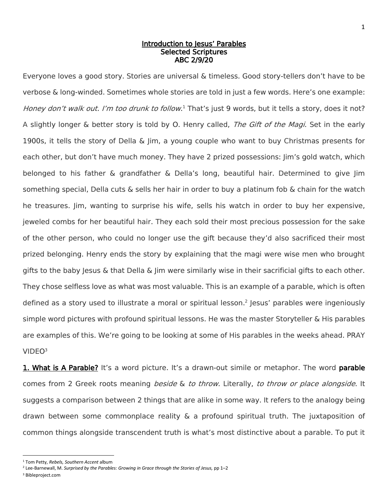## Introduction to Jesus' Parables Selected Scriptures ABC 2/9/20

Everyone loves a good story. Stories are universal & timeless. Good story-tellers don't have to be verbose & long-winded. Sometimes whole stories are told in just a few words. Here's one example: Honey don't walk out. I'm too drunk to follow.<sup>1</sup> That's just 9 words, but it tells a story, does it not? A slightly longer & better story is told by O. Henry called, The Gift of the Magi. Set in the early 1900s, it tells the story of Della & Jim, a young couple who want to buy Christmas presents for each other, but don't have much money. They have 2 prized possessions: Jim's gold watch, which belonged to his father & grandfather & Della's long, beautiful hair. Determined to give Jim something special, Della cuts & sells her hair in order to buy a platinum fob & chain for the watch he treasures. Jim, wanting to surprise his wife, sells his watch in order to buy her expensive, jeweled combs for her beautiful hair. They each sold their most precious possession for the sake of the other person, who could no longer use the gift because they'd also sacrificed their most prized belonging. Henry ends the story by explaining that the magi were wise men who brought gifts to the baby Jesus & that Della & Jim were similarly wise in their sacrificial gifts to each other. They chose selfless love as what was most valuable. This is an example of a parable, which is often defined as a story used to illustrate a moral or spiritual lesson. 2 Jesus' parables were ingeniously simple word pictures with profound spiritual lessons. He was the master Storyteller & His parables are examples of this. We're going to be looking at some of His parables in the weeks ahead. PRAY VIDEO<sup>3</sup>

**1. What is A Parable?** It's a word picture. It's a drawn-out simile or metaphor. The word **parable** comes from 2 Greek roots meaning *beside & to throw.* Literally, to throw or place alongside. It suggests a comparison between 2 things that are alike in some way. It refers to the analogy being drawn between some commonplace reality & a profound spiritual truth. The juxtaposition of common things alongside transcendent truth is what's most distinctive about a parable. To put it

l

<sup>1</sup> Tom Petty, *Rebels, Southern Accent* album

<sup>2</sup> Lee-Barnewall, M. *Surprised by the Parables: Growing in Grace through the Stories of Jesus,* pp 1–2

<sup>3</sup> Bibleproject.com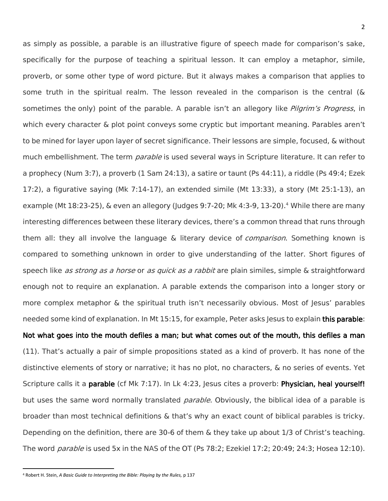as simply as possible, a parable is an illustrative figure of speech made for comparison's sake, specifically for the purpose of teaching a spiritual lesson. It can employ a metaphor, simile, proverb, or some other type of word picture. But it always makes a comparison that applies to some truth in the spiritual realm. The lesson revealed in the comparison is the central ( $\&$ sometimes the only) point of the parable. A parable isn't an allegory like *Pilgrim's Progress*, in which every character & plot point conveys some cryptic but important meaning. Parables aren't to be mined for layer upon layer of secret significance. Their lessons are simple, focused, & without much embellishment. The term *parable* is used several ways in Scripture literature. It can refer to a prophecy (Num 3:7), a proverb (1 Sam 24:13), a satire or taunt (Ps 44:11), a riddle (Ps 49:4; Ezek 17:2), a figurative saying (Mk 7:14-17), an extended simile (Mt 13:33), a story (Mt 25:1-13), an example (Mt 18:23-25), & even an allegory (Judges 9:7-20; Mk 4:3-9, 13-20).<sup>4</sup> While there are many interesting differences between these literary devices, there's a common thread that runs through them all: they all involve the language & literary device of *comparison*. Something known is compared to something unknown in order to give understanding of the latter. Short figures of speech like *as strong as a horse* or *as quick as a rabbit* are plain similes, simple & straightforward enough not to require an explanation. A parable extends the comparison into a longer story or more complex metaphor & the spiritual truth isn't necessarily obvious. Most of Jesus' parables needed some kind of explanation. In Mt 15:15, for example, Peter asks Jesus to explain this parable: Not what goes into the mouth defiles a man; but what comes out of the mouth, this defiles a man (11). That's actually a pair of simple propositions stated as a kind of proverb. It has none of the distinctive elements of story or narrative; it has no plot, no characters, & no series of events. Yet Scripture calls it a **parable** (cf Mk 7:17). In Lk 4:23, Jesus cites a proverb: **Physician, heal yourself!** but uses the same word normally translated parable. Obviously, the biblical idea of a parable is broader than most technical definitions & that's why an exact count of biblical parables is tricky.

Depending on the definition, there are 30-6 of them & they take up about 1/3 of Christ's teaching. The word *parable* is used 5x in the NAS of the OT (Ps 78:2; Ezekiel 17:2; 20:49; 24:3; Hosea 12:10).

l

<sup>4</sup> Robert H. Stein, *A Basic Guide to Interpreting the Bible: Playing by the Rules,* p 137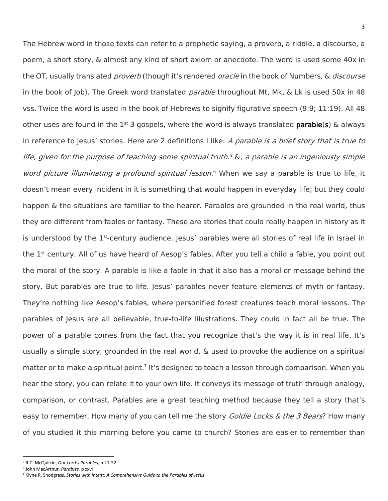The Hebrew word in those texts can refer to a prophetic saying, a proverb, a riddle, a discourse, a poem, a short story, & almost any kind of short axiom or anecdote. The word is used some 40x in the OT, usually translated *proverb* (though it's rendered *oracle* in the book of Numbers, & *discourse* in the book of Job). The Greek word translated *parable* throughout Mt, Mk, & Lk is used 50x in 48 vss. Twice the word is used in the book of Hebrews to signify figurative speech (9:9; 11:19). All 48 other uses are found in the  $1^{st}$  3 gospels, where the word is always translated **parable(s)** & always in reference to Jesus' stories. Here are 2 definitions I like: A parable is a brief story that is true to life, given for the purpose of teaching some spiritual truth. <sup>5</sup> &, <sup>a</sup> parable is an ingeniously simple word picture illuminating a profound spiritual lesson.<sup>6</sup> When we say a parable is true to life, it doesn't mean every incident in it is something that would happen in everyday life; but they could happen & the situations are familiar to the hearer. Parables are grounded in the real world, thus they are different from fables or fantasy. These are stories that could really happen in history as it is understood by the 1<sup>st</sup>-century audience. Jesus' parables were all stories of real life in Israel in the 1st century. All of us have heard of Aesop's fables. After you tell a child a fable, you point out the moral of the story. A parable is like a fable in that it also has a moral or message behind the story. But parables are true to life. Jesus' parables never feature elements of myth or fantasy. They're nothing like Aesop's fables, where personified forest creatures teach moral lessons. The parables of Jesus are all believable, true-to-life illustrations. They could in fact all be true. The power of a parable comes from the fact that you recognize that's the way it is in real life. It's usually a simple story, grounded in the real world, & used to provoke the audience on a spiritual matter or to make a spiritual point.<sup>7</sup> It's designed to teach a lesson through comparison. When you hear the story, you can relate it to your own life. It conveys its message of truth through analogy, comparison, or contrast. Parables are a great teaching method because they tell a story that's easy to remember. How many of you can tell me the story *Goldie Locks & the 3 Bears*? How many of you studied it this morning before you came to church? Stories are easier to remember than

 $\overline{a}$ 

<sup>5</sup> R.C. McQuilkin, *Our Lord's Parables,* p 21-22

<sup>6</sup> John MacArthur, *Parables,* p xxvi

<sup>7</sup> Klyne R. Snodgrass*, Stories with Intent: A Comprehensive Guide to the Parables of Jesus*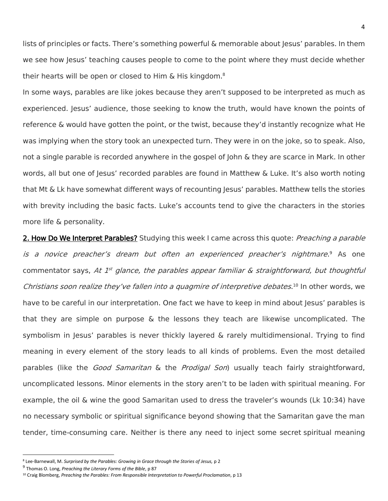lists of principles or facts. There's something powerful & memorable about Jesus' parables. In them we see how Jesus' teaching causes people to come to the point where they must decide whether their hearts will be open or closed to Him & His kingdom.<sup>8</sup>

In some ways, parables are like jokes because they aren't supposed to be interpreted as much as experienced. Jesus' audience, those seeking to know the truth, would have known the points of reference & would have gotten the point, or the twist, because they'd instantly recognize what He was implying when the story took an unexpected turn. They were in on the joke, so to speak. Also, not a single parable is recorded anywhere in the gospel of John & they are scarce in Mark. In other words, all but one of Jesus' recorded parables are found in Matthew & Luke. It's also worth noting that Mt & Lk have somewhat different ways of recounting Jesus' parables. Matthew tells the stories with brevity including the basic facts. Luke's accounts tend to give the characters in the stories more life & personality.

2. How Do We Interpret Parables? Studying this week I came across this quote: *Preaching a parable* is a novice preacher's dream but often an experienced preacher's nightmare. <sup>9</sup> As one commentator says, At 1<sup>st</sup> glance, the parables appear familiar & straightforward, but thoughtful Christians soon realize they've fallen into a quagmire of interpretive debates.<sup>10</sup> In other words, we have to be careful in our interpretation. One fact we have to keep in mind about Jesus' parables is that they are simple on purpose & the lessons they teach are likewise uncomplicated. The symbolism in Jesus' parables is never thickly layered & rarely multidimensional. Trying to find meaning in every element of the story leads to all kinds of problems. Even the most detailed parables (like the Good Samaritan & the Prodigal Son) usually teach fairly straightforward, uncomplicated lessons. Minor elements in the story aren't to be laden with spiritual meaning. For example, the oil & wine the good Samaritan used to dress the traveler's wounds (Lk 10:34) have no necessary symbolic or spiritual significance beyond showing that the Samaritan gave the man tender, time-consuming care. Neither is there any need to inject some secret spiritual meaning

 $\overline{\phantom{a}}$ 

<sup>8</sup> Lee-Barnewall, M. *Surprised by the Parables: Growing in Grace through the Stories of Jesus,* p 2

<sup>9</sup> Thomas O. Long, *Preaching the Literary Forms of the Bible*, p 87

<sup>10</sup> Craig Blomberg, *[Preaching the Parables: From Responsible Interpretation to Powerful Proclamation](https://ref.ly/logosres/preachpara?ref=Page.p+13&off=13&ctx=Introduction%0a~Preaching+a+parable+is+a+no)*, p 13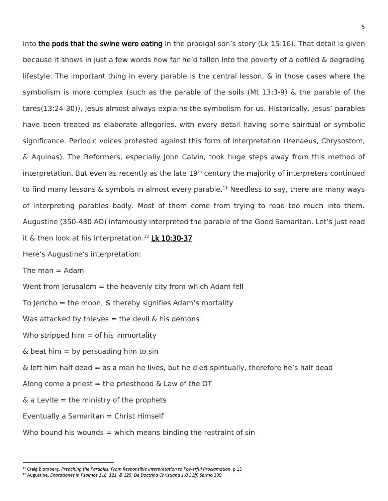into the pods that the swine were eating in the prodigal son's story (Lk 15:16). That detail is given because it shows in just a few words how far he'd fallen into the poverty of a defiled & degrading lifestyle. The important thing in every parable is the central lesson, & in those cases where the symbolism is more complex (such as the parable of the soils (Mt 13:3-9) & the parable of the tares(13:24-30)), Jesus almost always explains the symbolism for us. Historically, Jesus' parables have been treated as elaborate allegories, with every detail having some spiritual or symbolic significance. Periodic voices protested against this form of interpretation (Irenaeus, Chrysostom, & Aquinas). The Reformers, especially John Calvin, took huge steps away from this method of interpretation. But even as recently as the late  $19<sup>th</sup>$  century the majority of interpreters continued to find many lessons  $\&$  symbols in almost every parable.<sup>11</sup> Needless to say, there are many ways of interpreting parables badly. Most of them come from trying to read too much into them. Augustine (350-430 AD) infamously interpreted the parable of the Good Samaritan. Let's just read it  $\&$  then look at his interpretation.<sup>12</sup> Lk 10:30-37

Here's Augustine's interpretation:

The man  $=$  Adam

 $\overline{a}$ 

Went from Jerusalem = the heavenly city from which Adam fell

To Jericho = the moon,  $\&$  thereby signifies Adam's mortality

Was attacked by thieves  $=$  the devil & his demons

Who stripped him  $=$  of his immortality

 $\&$  beat him = by persuading him to sin

 $\&$  left him half dead  $=$  as a man he lives, but he died spiritually, therefore he's half dead

Along come a priest  $=$  the priesthood & Law of the OT

 $\&$  a Levite = the ministry of the prophets

Eventually a Samaritan  $=$  Christ Himself

Who bound his wounds = which means binding the restraint of sin

<sup>11</sup> Craig Blomberg, *Preaching the Parables: From Responsible Interpretation to Powerful Proclamation*, p 13

<sup>12</sup> Augustine, *Enarationes in Psalmos 118, 121, & 125; De Doctrina Christiana 1.0.31ff, Sermo* 299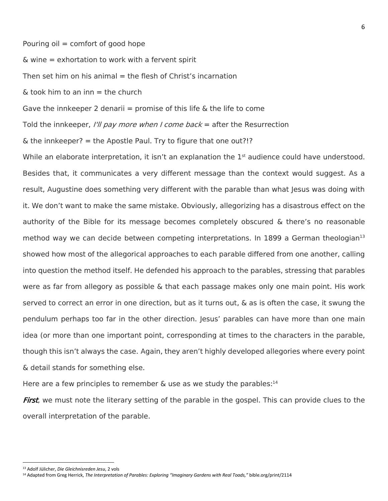Pouring  $\delta$ il = comfort of good hope

& wine = exhortation to work with a fervent spirit

Then set him on his animal  $=$  the flesh of Christ's incarnation

 $\&$  took him to an inn  $=$  the church

Gave the innkeeper 2 denarii = promise of this life & the life to come

Told the innkeeper, I'll pay more when I come back = after the Resurrection

 $\&$  the innkeeper? = the Apostle Paul. Try to figure that one out?!?

While an elaborate interpretation, it isn't an explanation the 1<sup>st</sup> audience could have understood. Besides that, it communicates a very different message than the context would suggest. As a result, Augustine does something very different with the parable than what Jesus was doing with it. We don't want to make the same mistake. Obviously, allegorizing has a disastrous effect on the authority of the Bible for its message becomes completely obscured & there's no reasonable method way we can decide between competing interpretations. In 1899 a German theologian<sup>13</sup> showed how most of the allegorical approaches to each parable differed from one another, calling into question the method itself. He defended his approach to the parables, stressing that parables were as far from allegory as possible & that each passage makes only one main point. His work served to correct an error in one direction, but as it turns out, & as is often the case, it swung the pendulum perhaps too far in the other direction. Jesus' parables can have more than one main idea (or more than one important point, corresponding at times to the characters in the parable, though this isn't always the case. Again, they aren't highly developed allegories where every point & detail stands for something else.

Here are a few principles to remember & use as we study the parables:<sup>14</sup>

First, we must note the literary setting of the parable in the gospel. This can provide clues to the overall interpretation of the parable.

 $\overline{a}$ 

<sup>13</sup> Adolf Jülicher, *Die Gleichnisreden Jesu*, 2 vols

<sup>14</sup> Adapted from Greg Herrick, *The Interpretation of Parables: Exploring "Imaginary Gardens with Real Toads,"* bible.org/print/2114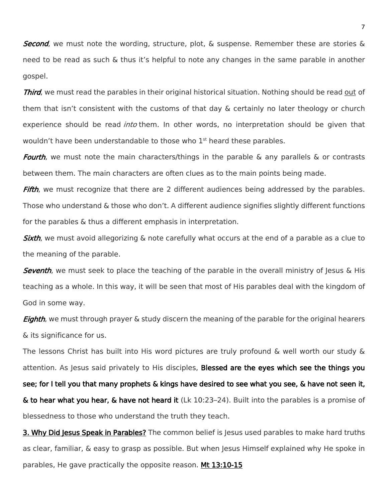Second, we must note the wording, structure, plot, & suspense. Remember these are stories & need to be read as such & thus it's helpful to note any changes in the same parable in another gospel.

**Third**, we must read the parables in their original historical situation. Nothing should be read out of them that isn't consistent with the customs of that day & certainly no later theology or church experience should be read *into* them. In other words, no interpretation should be given that wouldn't have been understandable to those who  $1<sup>st</sup>$  heard these parables.

Fourth, we must note the main characters/things in the parable  $\&$  any parallels  $\&$  or contrasts between them. The main characters are often clues as to the main points being made.

Fifth, we must recognize that there are 2 different audiences being addressed by the parables. Those who understand & those who don't. A different audience signifies slightly different functions for the parables & thus a different emphasis in interpretation.

Sixth, we must avoid allegorizing & note carefully what occurs at the end of a parable as a clue to the meaning of the parable.

Seventh, we must seek to place the teaching of the parable in the overall ministry of Jesus & His teaching as a whole. In this way, it will be seen that most of His parables deal with the kingdom of God in some way.

**Eighth**, we must through prayer & study discern the meaning of the parable for the original hearers & its significance for us.

The lessons Christ has built into His word pictures are truly profound & well worth our study & attention. As Jesus said privately to His disciples, Blessed are the eyes which see the things you see; for I tell you that many prophets & kings have desired to see what you see, & have not seen it, & to hear what you hear, & have not heard it (Lk 10:23–24). Built into the parables is a promise of blessedness to those who understand the truth they teach.

3. Why Did Jesus Speak in Parables? The common belief is Jesus used parables to make hard truths as clear, familiar, & easy to grasp as possible. But when Jesus Himself explained why He spoke in parables, He gave practically the opposite reason. Mt 13:10-15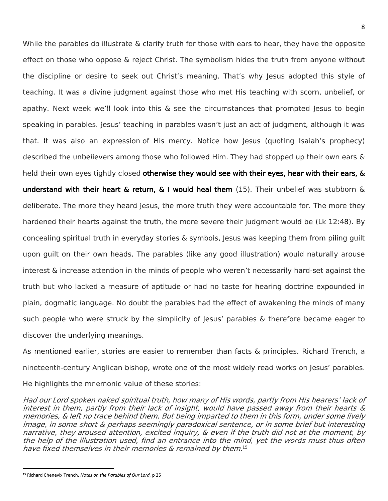While the parables do illustrate & clarify truth for those with ears to hear, they have the opposite effect on those who oppose & reject Christ. The symbolism hides the truth from anyone without the discipline or desire to seek out Christ's meaning. That's why Jesus adopted this style of teaching. It was a divine judgment against those who met His teaching with scorn, unbelief, or apathy. Next week we'll look into this  $\&$  see the circumstances that prompted Jesus to begin speaking in parables. Jesus' teaching in parables wasn't just an act of judgment, although it was that. It was also an expression of His mercy. Notice how Jesus (quoting Isaiah's prophecy) described the unbelievers among those who followed Him. They had stopped up their own ears & held their own eyes tightly closed otherwise they would see with their eyes, hear with their ears, & understand with their heart & return, & I would heal them (15). Their unbelief was stubborn & deliberate. The more they heard Jesus, the more truth they were accountable for. The more they hardened their hearts against the truth, the more severe their judgment would be (Lk 12:48). By concealing spiritual truth in everyday stories & symbols, Jesus was keeping them from piling guilt upon guilt on their own heads. The parables (like any good illustration) would naturally arouse interest & increase attention in the minds of people who weren't necessarily hard-set against the truth but who lacked a measure of aptitude or had no taste for hearing doctrine expounded in plain, dogmatic language. No doubt the parables had the effect of awakening the minds of many such people who were struck by the simplicity of Jesus' parables & therefore became eager to discover the underlying meanings.

As mentioned earlier, stories are easier to remember than facts & principles. Richard Trench, a nineteenth-century Anglican bishop, wrote one of the most widely read works on Jesus' parables. He highlights the mnemonic value of these stories:

Had our Lord spoken naked spiritual truth, how many of His words, partly from His hearers' lack of interest in them, partly from their lack of insight, would have passed away from their hearts & memories, & left no trace behind them. But being imparted to them in this form, under some lively image, in some short & perhaps seemingly paradoxical sentence, or in some brief but interesting narrative, they aroused attention, excited inquiry, & even if the truth did not at the moment, by the help of the illustration used, find an entrance into the mind, yet the words must thus often have fixed themselves in their memories & remained by them. 15

l

<sup>15</sup> Richard Chenevix Trench, *Notes on the Parables of Our Lord,* p 25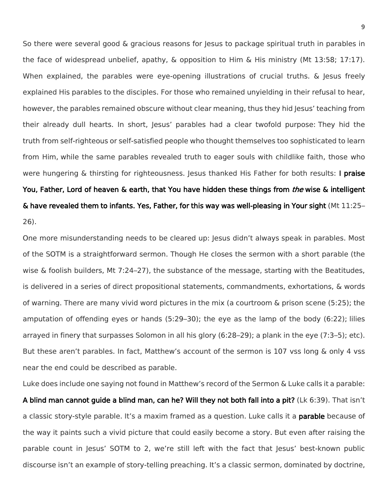So there were several good & gracious reasons for Jesus to package spiritual truth in parables in the face of widespread unbelief, apathy, & opposition to Him & His ministry (Mt 13:58; 17:17). When explained, the parables were eye-opening illustrations of crucial truths. & Jesus freely explained His parables to the disciples. For those who remained unyielding in their refusal to hear, however, the parables remained obscure without clear meaning, thus they hid Jesus' teaching from their already dull hearts. In short, Jesus' parables had a clear twofold purpose: They hid the truth from self-righteous or self-satisfied people who thought themselves too sophisticated to learn from Him, while the same parables revealed truth to eager souls with childlike faith, those who were hungering  $\&$  thirsting for righteousness. Jesus thanked His Father for both results: I praise You, Father, Lord of heaven & earth, that You have hidden these things from *the* wise & intelligent & have revealed them to infants. Yes, Father, for this way was well-pleasing in Your sight (Mt 11:25– 26).

One more misunderstanding needs to be cleared up: Jesus didn't always speak in parables. Most of the SOTM is a straightforward sermon. Though He closes the sermon with a short parable (the wise & foolish builders, Mt 7:24–27), the substance of the message, starting with the Beatitudes, is delivered in a series of direct propositional statements, commandments, exhortations, & words of warning. There are many vivid word pictures in the mix (a courtroom & prison scene (5:25); the amputation of offending eyes or hands (5:29–30); the eye as the lamp of the body (6:22); lilies arrayed in finery that surpasses Solomon in all his glory (6:28–29); a plank in the eye (7:3–5); etc). But these aren't parables. In fact, Matthew's account of the sermon is 107 vss long & only 4 vss near the end could be described as parable.

Luke does include one saying not found in Matthew's record of the Sermon & Luke calls it a parable: A blind man cannot guide a blind man, can he? Will they not both fall into a pit? (Lk 6:39). That isn't a classic story-style parable. It's a maxim framed as a question. Luke calls it a **parable** because of the way it paints such a vivid picture that could easily become a story. But even after raising the parable count in Jesus' SOTM to 2, we're still left with the fact that Jesus' best-known public discourse isn't an example of story-telling preaching. It's a classic sermon, dominated by doctrine,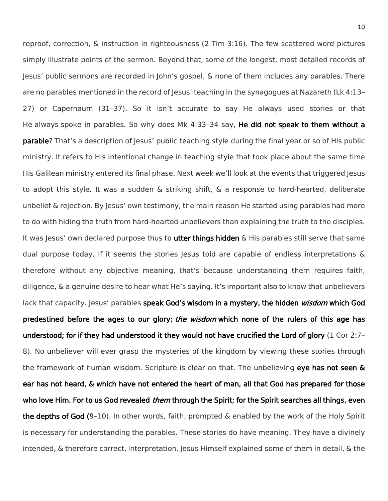reproof, correction, & instruction in righteousness (2 Tim 3:16). The few scattered word pictures simply illustrate points of the sermon. Beyond that, some of the longest, most detailed records of Jesus' public sermons are recorded in John's gospel, & none of them includes any parables. There are no parables mentioned in the record of Jesus' teaching in the synagogues at Nazareth (Lk 4:13– 27) or Capernaum (31–37). So it isn't accurate to say He always used stories or that He always spoke in parables. So why does Mk 4:33-34 say, He did not speak to them without a parable? That's a description of Jesus' public teaching style during the final year or so of His public ministry. It refers to His intentional change in teaching style that took place about the same time His Galilean ministry entered its final phase. Next week we'll look at the events that triggered Jesus to adopt this style. It was a sudden & striking shift, & a response to hard-hearted, deliberate unbelief & rejection. By Jesus' own testimony, the main reason He started using parables had more to do with hiding the truth from hard-hearted unbelievers than explaining the truth to the disciples. It was Jesus' own declared purpose thus to **utter things hidden** & His parables still serve that same dual purpose today. If it seems the stories Jesus told are capable of endless interpretations  $\&$ therefore without any objective meaning, that's because understanding them requires faith, diligence, & a genuine desire to hear what He's saying. It's important also to know that unbelievers lack that capacity. Jesus' parables speak God's wisdom in a mystery, the hidden wisdom which God predestined before the ages to our glory; the wisdom which none of the rulers of this age has understood; for if they had understood it they would not have crucified the Lord of glory (1 Cor 2:7– 8). No unbeliever will ever grasp the mysteries of the kingdom by viewing these stories through the framework of human wisdom. Scripture is clear on that. The unbelieving eye has not seen & ear has not heard, & which have not entered the heart of man, all that God has prepared for those who love Him. For to us God revealed *them* through the Spirit; for the Spirit searches all things, even the depths of God  $(9-10)$ . In other words, faith, prompted & enabled by the work of the Holy Spirit is necessary for understanding the parables. These stories do have meaning. They have a divinely intended, & therefore correct, interpretation. Jesus Himself explained some of them in detail, & the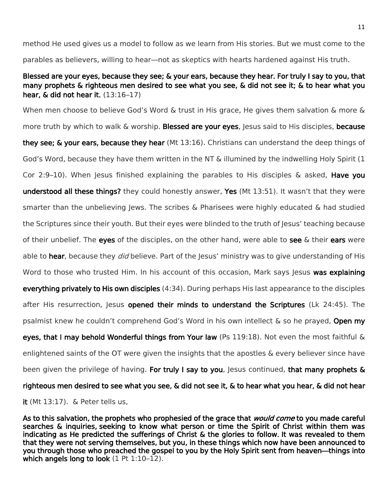method He used gives us a model to follow as we learn from His stories. But we must come to the parables as believers, willing to hear—not as skeptics with hearts hardened against His truth.

## Blessed are your eyes, because they see; & your ears, because they hear. For truly I say to you, that many prophets & righteous men desired to see what you see, & did not see it; & to hear what you hear,  $\&$  did not hear it.  $(13:16-17)$

When men choose to believe God's Word & trust in His grace, He gives them salvation & more & more truth by which to walk & worship. Blessed are your eyes, Jesus said to His disciples, because they see; & your ears, because they hear (Mt 13:16). Christians can understand the deep things of God's Word, because they have them written in the NT & illumined by the indwelling Holy Spirit (1 Cor 2:9–10). When Jesus finished explaining the parables to His disciples  $\&$  asked, **Have you** understood all these things? they could honestly answer, Yes (Mt 13:51). It wasn't that they were smarter than the unbelieving Jews. The scribes & Pharisees were highly educated & had studied the Scriptures since their youth. But their eyes were blinded to the truth of Jesus' teaching because of their unbelief. The eyes of the disciples, on the other hand, were able to see  $\&$  their ears were able to hear, because they *did* believe. Part of the Jesus' ministry was to give understanding of His Word to those who trusted Him. In his account of this occasion, Mark says Jesus was explaining everything privately to His own disciples (4:34). During perhaps His last appearance to the disciples after His resurrection, Jesus opened their minds to understand the Scriptures (Lk 24:45). The psalmist knew he couldn't comprehend God's Word in his own intellect & so he prayed, Open my eyes, that I may behold Wonderful things from Your law (Ps 119:18). Not even the most faithful & enlightened saints of the OT were given the insights that the apostles & every believer since have been given the privilege of having. For truly I say to you, Jesus continued, that many prophets & righteous men desired to see what you see, & did not see it, & to hear what you hear, & did not hear it (Mt 13:17). & Peter tells us,

As to this salvation, the prophets who prophesied of the grace that *would come* to you made careful searches & inquiries, seeking to know what person or time the Spirit of Christ within them was indicating as He predicted the sufferings of Christ & the glories to follow. It was revealed to them that they were not serving themselves, but you, in these things which now have been announced to you through those who preached the gospel to you by the Holy Spirit sent from heaven—things into which angels long to look (1 Pt 1:10-12).